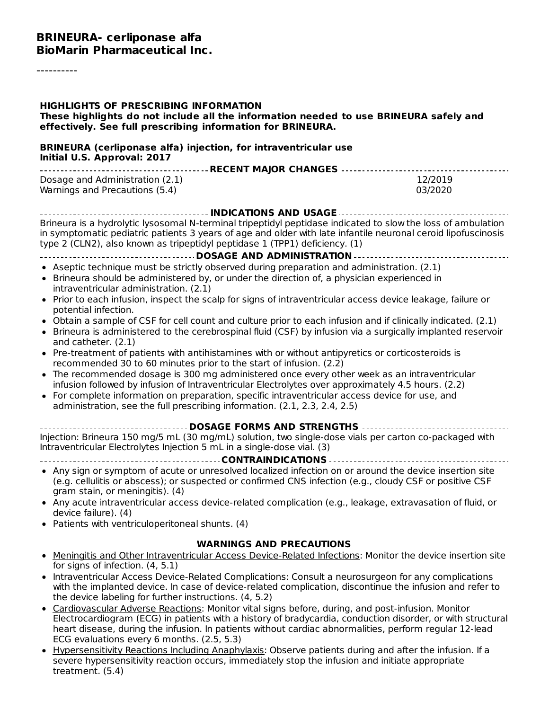#### **BRINEURA- cerliponase alfa BioMarin Pharmaceutical Inc.**

----------

| <b>HIGHLIGHTS OF PRESCRIBING INFORMATION</b><br>These highlights do not include all the information needed to use BRINEURA safely and<br>effectively. See full prescribing information for BRINEURA.                                                                                                                                                                                                  |                    |
|-------------------------------------------------------------------------------------------------------------------------------------------------------------------------------------------------------------------------------------------------------------------------------------------------------------------------------------------------------------------------------------------------------|--------------------|
| <b>BRINEURA (cerliponase alfa) injection, for intraventricular use</b><br>Initial U.S. Approval: 2017                                                                                                                                                                                                                                                                                                 |                    |
| Dosage and Administration (2.1)<br>Warnings and Precautions (5.4)                                                                                                                                                                                                                                                                                                                                     | 12/2019<br>03/2020 |
| ---------------------------------- INDICATIONS AND USAGE ----------------------------<br>Brineura is a hydrolytic lysosomal N-terminal tripeptidyl peptidase indicated to slow the loss of ambulation<br>in symptomatic pediatric patients 3 years of age and older with late infantile neuronal ceroid lipofuscinosis<br>type 2 (CLN2), also known as tripeptidyl peptidase 1 (TPP1) deficiency. (1) |                    |
|                                                                                                                                                                                                                                                                                                                                                                                                       |                    |
| • Aseptic technique must be strictly observed during preparation and administration. (2.1)<br>• Brineura should be administered by, or under the direction of, a physician experienced in<br>intraventricular administration. (2.1)                                                                                                                                                                   |                    |
| • Prior to each infusion, inspect the scalp for signs of intraventricular access device leakage, failure or<br>potential infection.                                                                                                                                                                                                                                                                   |                    |
| • Obtain a sample of CSF for cell count and culture prior to each infusion and if clinically indicated. (2.1)<br>• Brineura is administered to the cerebrospinal fluid (CSF) by infusion via a surgically implanted reservoir<br>and catheter. (2.1)                                                                                                                                                  |                    |
| • Pre-treatment of patients with antihistamines with or without antipyretics or corticosteroids is<br>recommended 30 to 60 minutes prior to the start of infusion. (2.2)                                                                                                                                                                                                                              |                    |
| • The recommended dosage is 300 mg administered once every other week as an intraventricular<br>infusion followed by infusion of Intraventricular Electrolytes over approximately 4.5 hours. (2.2)                                                                                                                                                                                                    |                    |
| • For complete information on preparation, specific intraventricular access device for use, and<br>administration, see the full prescribing information. (2.1, 2.3, 2.4, 2.5)                                                                                                                                                                                                                         |                    |
| -------------------------------- DOSAGE    FORMS AND STRENGTHS    ---------------                                                                                                                                                                                                                                                                                                                     |                    |
| Injection: Brineura 150 mg/5 mL (30 mg/mL) solution, two single-dose vials per carton co-packaged with<br>Intraventricular Electrolytes Injection 5 mL in a single-dose vial. (3)                                                                                                                                                                                                                     |                    |
|                                                                                                                                                                                                                                                                                                                                                                                                       |                    |
| • Any sign or symptom of acute or unresolved localized infection on or around the device insertion site<br>(e.g. cellulitis or abscess); or suspected or confirmed CNS infection (e.g., cloudy CSF or positive CSF<br>gram stain, or meningitis). (4)                                                                                                                                                 |                    |
| • Any acute intraventricular access device-related complication (e.g., leakage, extravasation of fluid, or<br>device failure). (4)                                                                                                                                                                                                                                                                    |                    |
| • Patients with ventriculoperitoneal shunts. (4)                                                                                                                                                                                                                                                                                                                                                      |                    |
| ------------------------------ WARNINGS AND PRECAUTIONS ------------------------------                                                                                                                                                                                                                                                                                                                |                    |
| • Meningitis and Other Intraventricular Access Device-Related Infections: Monitor the device insertion site<br>for signs of infection. (4, 5.1)                                                                                                                                                                                                                                                       |                    |
| • Intraventricular Access Device-Related Complications: Consult a neurosurgeon for any complications                                                                                                                                                                                                                                                                                                  |                    |
| with the implanted device. In case of device-related complication, discontinue the infusion and refer to<br>the device labeling for further instructions. (4, 5.2)                                                                                                                                                                                                                                    |                    |
| • Cardiovascular Adverse Reactions: Monitor vital signs before, during, and post-infusion. Monitor<br>Electrocardiogram (ECG) in patients with a history of bradycardia, conduction disorder, or with structural                                                                                                                                                                                      |                    |
| heart disease, during the infusion. In patients without cardiac abnormalities, perform regular 12-lead<br>ECG evaluations every 6 months. (2.5, 5.3)                                                                                                                                                                                                                                                  |                    |
| • Hypersensitivity Reactions Including Anaphylaxis: Observe patients during and after the infusion. If a<br>severe hypersensitivity reaction occurs, immediately stop the infusion and initiate appropriate<br>treatment. (5.4)                                                                                                                                                                       |                    |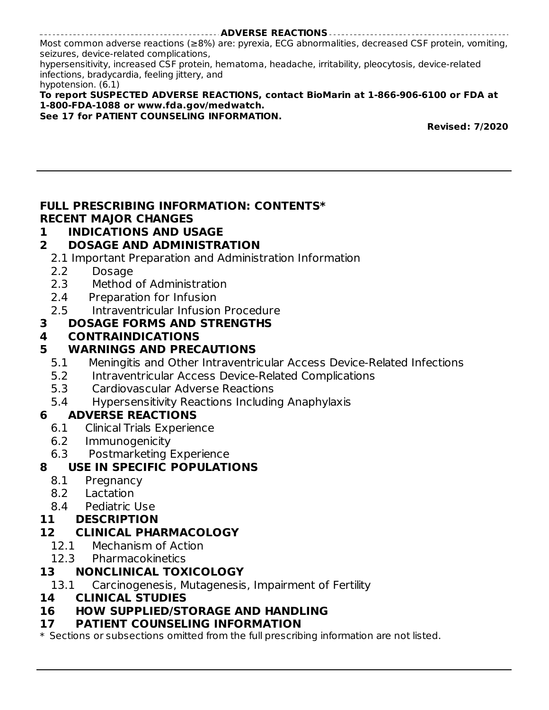**ADVERSE REACTIONS** Most common adverse reactions (≥8%) are: pyrexia, ECG abnormalities, decreased CSF protein, vomiting, seizures, device-related complications, hypersensitivity, increased CSF protein, hematoma, headache, irritability, pleocytosis, device-related infections, bradycardia, feeling jittery, and hypotension. (6.1) **To report SUSPECTED ADVERSE REACTIONS, contact BioMarin at 1-866-906-6100 or FDA at**

#### **1-800-FDA-1088 or www.fda.gov/medwatch.**

**See 17 for PATIENT COUNSELING INFORMATION.**

**Revised: 7/2020**

### **FULL PRESCRIBING INFORMATION: CONTENTS\* RECENT MAJOR CHANGES**

### **1 INDICATIONS AND USAGE**

### **2 DOSAGE AND ADMINISTRATION**

2.1 Important Preparation and Administration Information

- 2.2 Dosage
- 2.3 Method of Administration
- 2.4 Preparation for Infusion
- 2.5 Intraventricular Infusion Procedure

### **3 DOSAGE FORMS AND STRENGTHS**

### **4 CONTRAINDICATIONS**

### **5 WARNINGS AND PRECAUTIONS**

- 5.1 Meningitis and Other Intraventricular Access Device-Related Infections
- 5.2 Intraventricular Access Device-Related Complications
- 5.3 Cardiovascular Adverse Reactions
- 5.4 Hypersensitivity Reactions Including Anaphylaxis

### **6 ADVERSE REACTIONS**

- 6.1 Clinical Trials Experience
- 6.2 Immunogenicity
- 6.3 Postmarketing Experience

### **8 USE IN SPECIFIC POPULATIONS**

- 8.1 Pregnancy
- 8.2 Lactation
- 8.4 Pediatric Use

### **11 DESCRIPTION**

### **12 CLINICAL PHARMACOLOGY**

- 12.1 Mechanism of Action
- 12.3 Pharmacokinetics

### **13 NONCLINICAL TOXICOLOGY**

13.1 Carcinogenesis, Mutagenesis, Impairment of Fertility

#### **14 CLINICAL STUDIES**

### **16 HOW SUPPLIED/STORAGE AND HANDLING**

#### **17 PATIENT COUNSELING INFORMATION**

\* Sections or subsections omitted from the full prescribing information are not listed.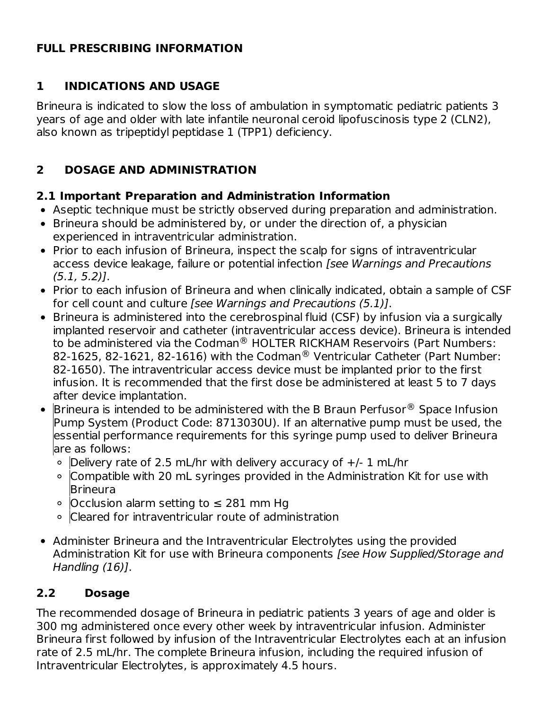### **FULL PRESCRIBING INFORMATION**

# **1 INDICATIONS AND USAGE**

Brineura is indicated to slow the loss of ambulation in symptomatic pediatric patients 3 years of age and older with late infantile neuronal ceroid lipofuscinosis type 2 (CLN2), also known as tripeptidyl peptidase 1 (TPP1) deficiency.

# **2 DOSAGE AND ADMINISTRATION**

### **2.1 Important Preparation and Administration Information**

- Aseptic technique must be strictly observed during preparation and administration.
- Brineura should be administered by, or under the direction of, a physician experienced in intraventricular administration.
- Prior to each infusion of Brineura, inspect the scalp for signs of intraventricular access device leakage, failure or potential infection [see Warnings and Precautions  $(5.1, 5.2)$ ].
- Prior to each infusion of Brineura and when clinically indicated, obtain a sample of CSF for cell count and culture [see Warnings and Precautions (5.1)].
- Brineura is administered into the cerebrospinal fluid (CSF) by infusion via a surgically implanted reservoir and catheter (intraventricular access device). Brineura is intended to be administered via the Codman $^{\circledR}$  HOLTER RICKHAM Reservoirs (Part Numbers: 82-1625, 82-1621, 82-1616) with the Codman<sup>®</sup> Ventricular Catheter (Part Number: 82-1650). The intraventricular access device must be implanted prior to the first infusion. It is recommended that the first dose be administered at least 5 to 7 days after device implantation.
- Brineura is intended to be administered with the B Braun Perfusor $^\circledR$  Space Infusion Pump System (Product Code: 8713030U). If an alternative pump must be used, the essential performance requirements for this syringe pump used to deliver Brineura are as follows:
	- $\circ$  Delivery rate of 2.5 mL/hr with delivery accuracy of  $+/- 1$  mL/hr
	- Compatible with 20 mL syringes provided in the Administration Kit for use with **Brineura**
	- Occlusion alarm setting to ≤ 281 mm Hg
	- Cleared for intraventricular route of administration
- Administer Brineura and the Intraventricular Electrolytes using the provided Administration Kit for use with Brineura components [see How Supplied/Storage and Handling (16)].

# **2.2 Dosage**

The recommended dosage of Brineura in pediatric patients 3 years of age and older is 300 mg administered once every other week by intraventricular infusion. Administer Brineura first followed by infusion of the Intraventricular Electrolytes each at an infusion rate of 2.5 mL/hr. The complete Brineura infusion, including the required infusion of Intraventricular Electrolytes, is approximately 4.5 hours.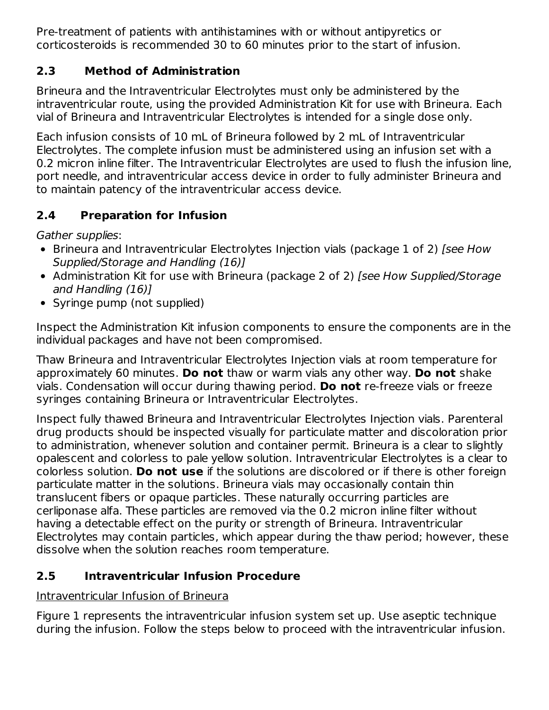Pre-treatment of patients with antihistamines with or without antipyretics or corticosteroids is recommended 30 to 60 minutes prior to the start of infusion.

### **2.3 Method of Administration**

Brineura and the Intraventricular Electrolytes must only be administered by the intraventricular route, using the provided Administration Kit for use with Brineura. Each vial of Brineura and Intraventricular Electrolytes is intended for a single dose only.

Each infusion consists of 10 mL of Brineura followed by 2 mL of Intraventricular Electrolytes. The complete infusion must be administered using an infusion set with a 0.2 micron inline filter. The Intraventricular Electrolytes are used to flush the infusion line, port needle, and intraventricular access device in order to fully administer Brineura and to maintain patency of the intraventricular access device.

# **2.4 Preparation for Infusion**

Gather supplies:

- Brineura and Intraventricular Electrolytes Injection vials (package 1 of 2) [see How Supplied/Storage and Handling (16)]
- Administration Kit for use with Brineura (package 2 of 2) [see How Supplied/Storage and Handling (16)]
- Syringe pump (not supplied)

Inspect the Administration Kit infusion components to ensure the components are in the individual packages and have not been compromised.

Thaw Brineura and Intraventricular Electrolytes Injection vials at room temperature for approximately 60 minutes. **Do not** thaw or warm vials any other way. **Do not** shake vials. Condensation will occur during thawing period. **Do not** re‑freeze vials or freeze syringes containing Brineura or Intraventricular Electrolytes.

Inspect fully thawed Brineura and Intraventricular Electrolytes Injection vials. Parenteral drug products should be inspected visually for particulate matter and discoloration prior to administration, whenever solution and container permit. Brineura is a clear to slightly opalescent and colorless to pale yellow solution. Intraventricular Electrolytes is a clear to colorless solution. **Do not use** if the solutions are discolored or if there is other foreign particulate matter in the solutions. Brineura vials may occasionally contain thin translucent fibers or opaque particles. These naturally occurring particles are cerliponase alfa. These particles are removed via the 0.2 micron inline filter without having a detectable effect on the purity or strength of Brineura. Intraventricular Electrolytes may contain particles, which appear during the thaw period; however, these dissolve when the solution reaches room temperature.

# **2.5 Intraventricular Infusion Procedure**

# Intraventricular Infusion of Brineura

Figure 1 represents the intraventricular infusion system set up. Use aseptic technique during the infusion. Follow the steps below to proceed with the intraventricular infusion.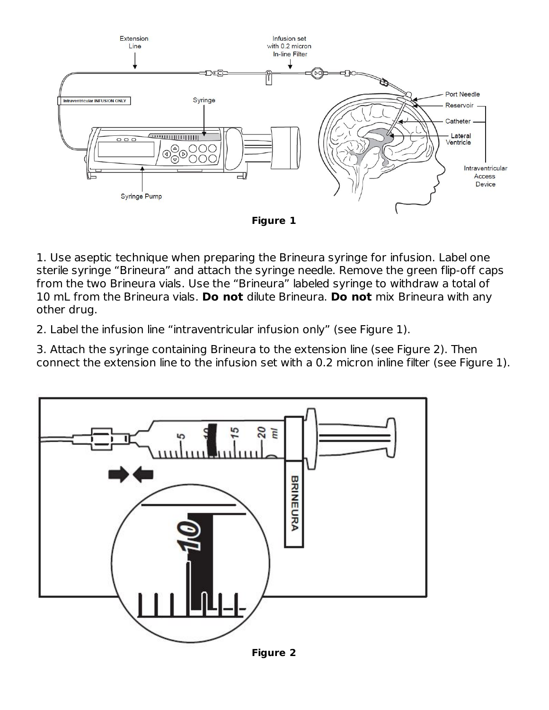

1. Use aseptic technique when preparing the Brineura syringe for infusion. Label one sterile syringe "Brineura" and attach the syringe needle. Remove the green flip-off caps from the two Brineura vials. Use the "Brineura" labeled syringe to withdraw a total of 10 mL from the Brineura vials. **Do not** dilute Brineura. **Do not** mix Brineura with any other drug.

2. Label the infusion line "intraventricular infusion only" (see Figure 1).

3. Attach the syringe containing Brineura to the extension line (see Figure 2). Then connect the extension line to the infusion set with a 0.2 micron inline filter (see Figure 1).



**Figure 2**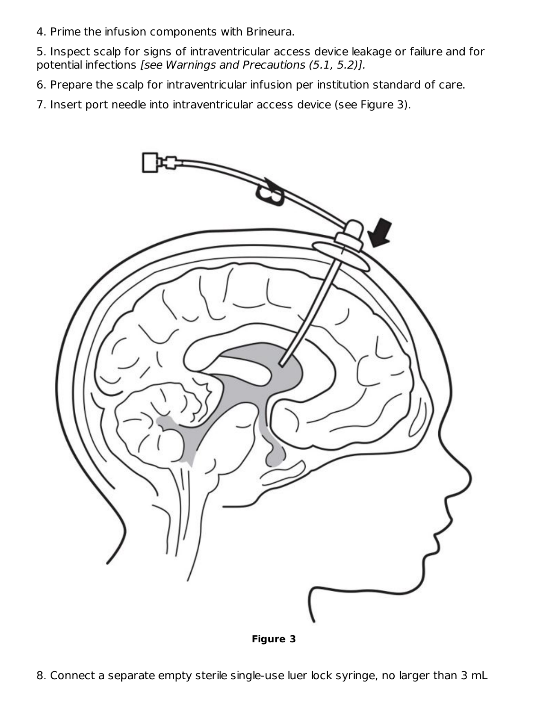4. Prime the infusion components with Brineura.

5. Inspect scalp for signs of intraventricular access device leakage or failure and for potential infections [see Warnings and Precautions (5.1, 5.2)].

6. Prepare the scalp for intraventricular infusion per institution standard of care.

7. Insert port needle into intraventricular access device (see Figure 3).



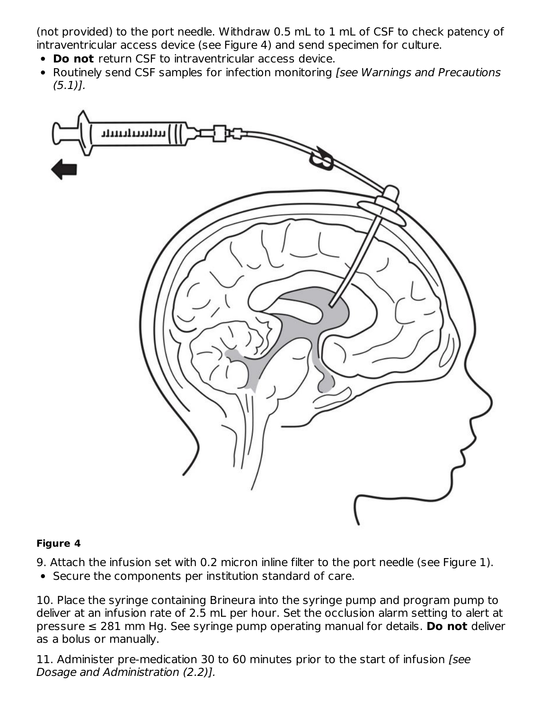(not provided) to the port needle. Withdraw 0.5 mL to 1 mL of CSF to check patency of intraventricular access device (see Figure 4) and send specimen for culture.

- **Do not** return CSF to intraventricular access device.
- Routinely send CSF samples for infection monitoring *[see Warnings and Precautions*  $(5.1)$ .



#### **Figure 4**

9. Attach the infusion set with 0.2 micron inline filter to the port needle (see Figure 1).

• Secure the components per institution standard of care.

10. Place the syringe containing Brineura into the syringe pump and program pump to deliver at an infusion rate of 2.5 mL per hour. Set the occlusion alarm setting to alert at pressure ≤ 281 mm Hg. See syringe pump operating manual for details. **Do not** deliver as a bolus or manually.

11. Administer pre-medication 30 to 60 minutes prior to the start of infusion [see Dosage and Administration (2.2)].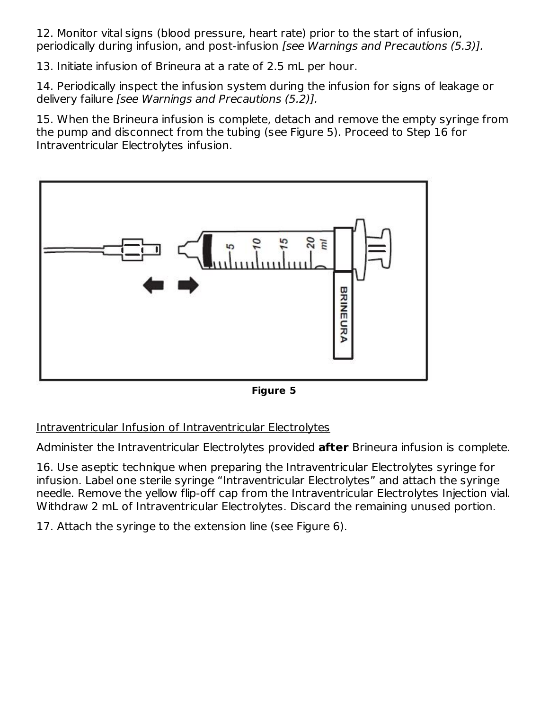12. Monitor vital signs (blood pressure, heart rate) prior to the start of infusion, periodically during infusion, and post-infusion [see Warnings and Precautions (5.3)].

13. Initiate infusion of Brineura at a rate of 2.5 mL per hour.

14. Periodically inspect the infusion system during the infusion for signs of leakage or delivery failure [see Warnings and Precautions (5.2)].

15. When the Brineura infusion is complete, detach and remove the empty syringe from the pump and disconnect from the tubing (see Figure 5). Proceed to Step 16 for Intraventricular Electrolytes infusion.



**Figure 5**

Intraventricular Infusion of Intraventricular Electrolytes

Administer the Intraventricular Electrolytes provided **after** Brineura infusion is complete.

16. Use aseptic technique when preparing the Intraventricular Electrolytes syringe for infusion. Label one sterile syringe "Intraventricular Electrolytes" and attach the syringe needle. Remove the yellow flip-off cap from the Intraventricular Electrolytes Injection vial. Withdraw 2 mL of Intraventricular Electrolytes. Discard the remaining unused portion.

17. Attach the syringe to the extension line (see Figure 6).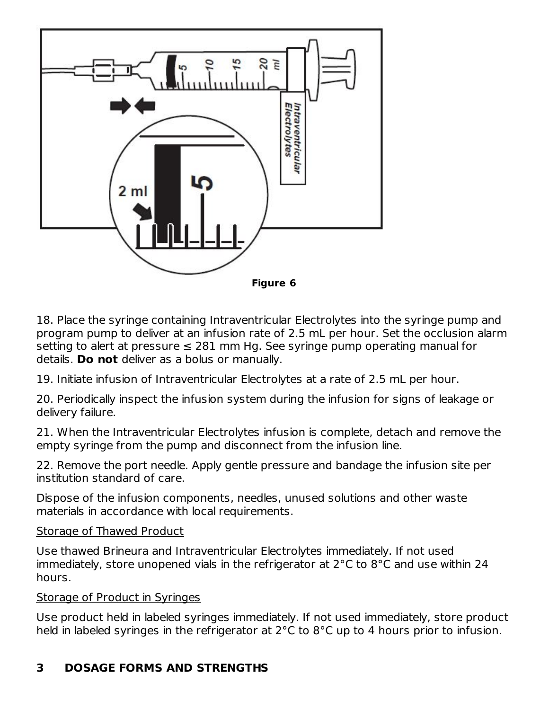

18. Place the syringe containing Intraventricular Electrolytes into the syringe pump and program pump to deliver at an infusion rate of 2.5 mL per hour. Set the occlusion alarm setting to alert at pressure  $\leq 281$  mm Hg. See syringe pump operating manual for details. **Do not** deliver as a bolus or manually.

19. Initiate infusion of Intraventricular Electrolytes at a rate of 2.5 mL per hour.

20. Periodically inspect the infusion system during the infusion for signs of leakage or delivery failure.

21. When the Intraventricular Electrolytes infusion is complete, detach and remove the empty syringe from the pump and disconnect from the infusion line.

22. Remove the port needle. Apply gentle pressure and bandage the infusion site per institution standard of care.

Dispose of the infusion components, needles, unused solutions and other waste materials in accordance with local requirements.

#### Storage of Thawed Product

Use thawed Brineura and Intraventricular Electrolytes immediately. If not used immediately, store unopened vials in the refrigerator at 2°C to 8°C and use within 24 hours.

#### Storage of Product in Syringes

Use product held in labeled syringes immediately. If not used immediately, store product held in labeled syringes in the refrigerator at 2°C to 8°C up to 4 hours prior to infusion.

### **3 DOSAGE FORMS AND STRENGTHS**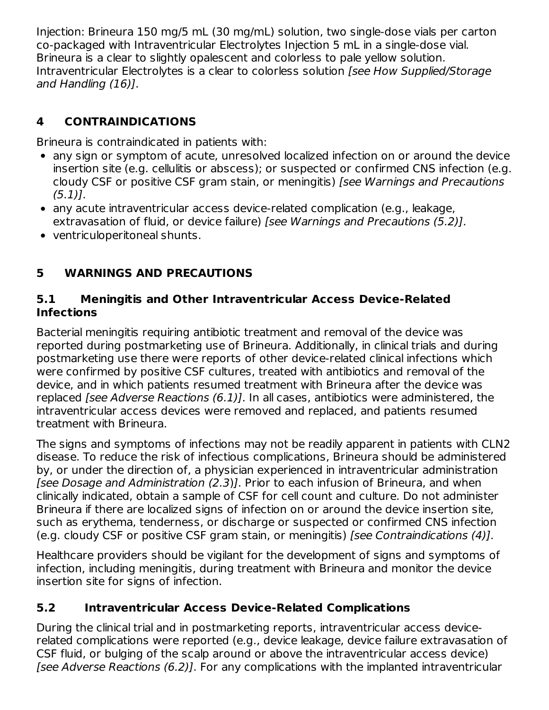Injection: Brineura 150 mg/5 mL (30 mg/mL) solution, two single-dose vials per carton co-packaged with Intraventricular Electrolytes Injection 5 mL in a single-dose vial. Brineura is a clear to slightly opalescent and colorless to pale yellow solution. Intraventricular Electrolytes is a clear to colorless solution [see How Supplied/Storage and Handling (16)].

# **4 CONTRAINDICATIONS**

Brineura is contraindicated in patients with:

- any sign or symptom of acute, unresolved localized infection on or around the device insertion site (e.g. cellulitis or abscess); or suspected or confirmed CNS infection (e.g. cloudy CSF or positive CSF gram stain, or meningitis) [see Warnings and Precautions  $(5.1)$ .
- any acute intraventricular access device-related complication (e.g., leakage, extravasation of fluid, or device failure) [see Warnings and Precautions (5.2)].
- ventriculoperitoneal shunts.

# **5 WARNINGS AND PRECAUTIONS**

### **5.1 Meningitis and Other Intraventricular Access Device-Related Infections**

Bacterial meningitis requiring antibiotic treatment and removal of the device was reported during postmarketing use of Brineura. Additionally, in clinical trials and during postmarketing use there were reports of other device-related clinical infections which were confirmed by positive CSF cultures, treated with antibiotics and removal of the device, and in which patients resumed treatment with Brineura after the device was replaced [see Adverse Reactions (6.1)]. In all cases, antibiotics were administered, the intraventricular access devices were removed and replaced, and patients resumed treatment with Brineura.

The signs and symptoms of infections may not be readily apparent in patients with CLN2 disease. To reduce the risk of infectious complications, Brineura should be administered by, or under the direction of, a physician experienced in intraventricular administration [see Dosage and Administration (2.3)]. Prior to each infusion of Brineura, and when clinically indicated, obtain a sample of CSF for cell count and culture. Do not administer Brineura if there are localized signs of infection on or around the device insertion site, such as erythema, tenderness, or discharge or suspected or confirmed CNS infection (e.g. cloudy CSF or positive CSF gram stain, or meningitis) [see Contraindications (4)].

Healthcare providers should be vigilant for the development of signs and symptoms of infection, including meningitis, during treatment with Brineura and monitor the device insertion site for signs of infection.

### **5.2 Intraventricular Access Device-Related Complications**

During the clinical trial and in postmarketing reports, intraventricular access devicerelated complications were reported (e.g., device leakage, device failure extravasation of CSF fluid, or bulging of the scalp around or above the intraventricular access device) [see Adverse Reactions (6.2)]. For any complications with the implanted intraventricular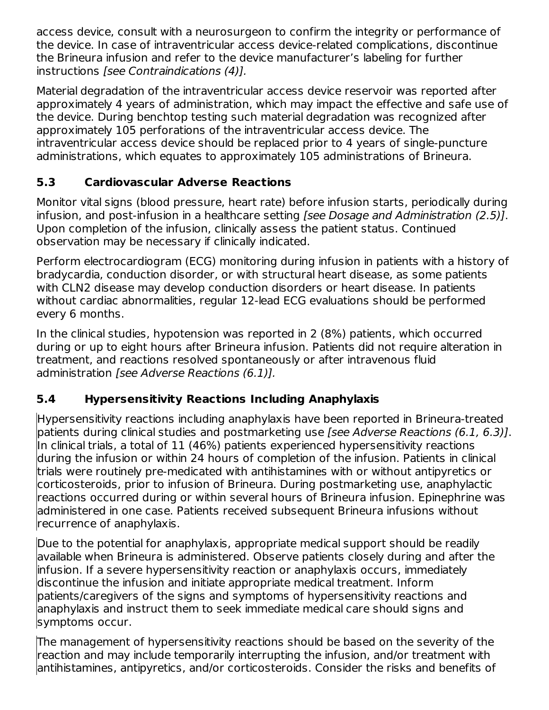access device, consult with a neurosurgeon to confirm the integrity or performance of the device. In case of intraventricular access device-related complications, discontinue the Brineura infusion and refer to the device manufacturer's labeling for further instructions [see Contraindications (4)].

Material degradation of the intraventricular access device reservoir was reported after approximately 4 years of administration, which may impact the effective and safe use of the device. During benchtop testing such material degradation was recognized after approximately 105 perforations of the intraventricular access device. The intraventricular access device should be replaced prior to 4 years of single-puncture administrations, which equates to approximately 105 administrations of Brineura.

# **5.3 Cardiovascular Adverse Reactions**

Monitor vital signs (blood pressure, heart rate) before infusion starts, periodically during infusion, and post-infusion in a healthcare setting [see Dosage and Administration (2.5)]. Upon completion of the infusion, clinically assess the patient status. Continued observation may be necessary if clinically indicated.

Perform electrocardiogram (ECG) monitoring during infusion in patients with a history of bradycardia, conduction disorder, or with structural heart disease, as some patients with CLN2 disease may develop conduction disorders or heart disease. In patients without cardiac abnormalities, regular 12-lead ECG evaluations should be performed every 6 months.

In the clinical studies, hypotension was reported in 2 (8%) patients, which occurred during or up to eight hours after Brineura infusion. Patients did not require alteration in treatment, and reactions resolved spontaneously or after intravenous fluid administration [see Adverse Reactions (6.1)].

# **5.4 Hypersensitivity Reactions Including Anaphylaxis**

Hypersensitivity reactions including anaphylaxis have been reported in Brineura-treated patients during clinical studies and postmarketing use *[see Adverse Reactions (6.1, 6.3)]*. In clinical trials, a total of 11 (46%) patients experienced hypersensitivity reactions during the infusion or within 24 hours of completion of the infusion. Patients in clinical trials were routinely pre-medicated with antihistamines with or without antipyretics or corticosteroids, prior to infusion of Brineura. During postmarketing use, anaphylactic reactions occurred during or within several hours of Brineura infusion. Epinephrine was administered in one case. Patients received subsequent Brineura infusions without recurrence of anaphylaxis.

Due to the potential for anaphylaxis, appropriate medical support should be readily available when Brineura is administered. Observe patients closely during and after the infusion. If a severe hypersensitivity reaction or anaphylaxis occurs, immediately discontinue the infusion and initiate appropriate medical treatment. Inform patients/caregivers of the signs and symptoms of hypersensitivity reactions and anaphylaxis and instruct them to seek immediate medical care should signs and symptoms occur.

The management of hypersensitivity reactions should be based on the severity of the reaction and may include temporarily interrupting the infusion, and/or treatment with antihistamines, antipyretics, and/or corticosteroids. Consider the risks and benefits of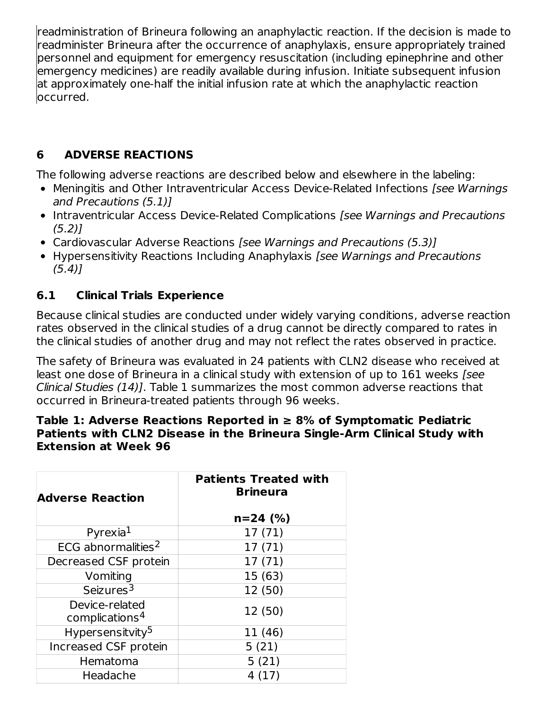readministration of Brineura following an anaphylactic reaction. If the decision is made to readminister Brineura after the occurrence of anaphylaxis, ensure appropriately trained personnel and equipment for emergency resuscitation (including epinephrine and other emergency medicines) are readily available during infusion. Initiate subsequent infusion at approximately one-half the initial infusion rate at which the anaphylactic reaction occurred.

# **6 ADVERSE REACTIONS**

The following adverse reactions are described below and elsewhere in the labeling:

- Meningitis and Other Intraventricular Access Device-Related Infections [see Warnings] and Precautions (5.1)]
- Intraventricular Access Device-Related Complications [see Warnings and Precautions  $(5.2)$ ]
- Cardiovascular Adverse Reactions [see Warnings and Precautions (5.3)]
- Hypersensitivity Reactions Including Anaphylaxis [see Warnings and Precautions  $(5.4)$ ]

### **6.1 Clinical Trials Experience**

Because clinical studies are conducted under widely varying conditions, adverse reaction rates observed in the clinical studies of a drug cannot be directly compared to rates in the clinical studies of another drug and may not reflect the rates observed in practice.

The safety of Brineura was evaluated in 24 patients with CLN2 disease who received at least one dose of Brineura in a clinical study with extension of up to 161 weeks [see Clinical Studies (14)]. Table 1 summarizes the most common adverse reactions that occurred in Brineura-treated patients through 96 weeks.

#### **Table 1: Adverse Reactions Reported in ≥ 8% of Symptomatic Pediatric Patients with CLN2 Disease in the Brineura Single-Arm Clinical Study with Extension at Week 96**

| <b>Adverse Reaction</b>                      | <b>Patients Treated with</b><br><b>Brineura</b> |  |  |
|----------------------------------------------|-------------------------------------------------|--|--|
|                                              | $n=24$ (%)                                      |  |  |
| Pyrexia $1$                                  | 17 (71)                                         |  |  |
| ECG abnormalities <sup>2</sup>               | 17 (71)                                         |  |  |
| Decreased CSF protein                        | 17(71)                                          |  |  |
| Vomiting                                     | 15 (63)                                         |  |  |
| Seizures <sup>3</sup>                        | 12 (50)                                         |  |  |
| Device-related<br>complications <sup>4</sup> | 12 (50)                                         |  |  |
| Hypersensitvity <sup>5</sup>                 | 11 (46)                                         |  |  |
| Increased CSF protein                        | 5(21)                                           |  |  |
| Hematoma                                     | 5(21)                                           |  |  |
| Headache                                     | 4 (17)                                          |  |  |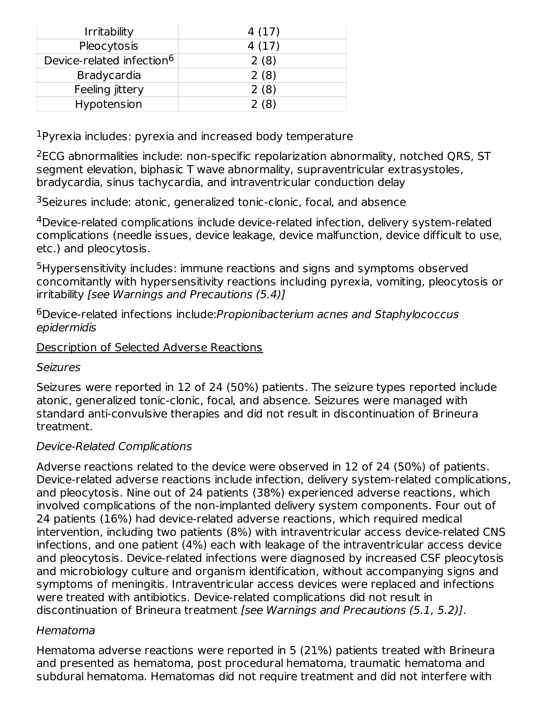| <b>Irritability</b>                   | 4(17) |
|---------------------------------------|-------|
| Pleocytosis                           | 4(17) |
| Device-related infection <sup>6</sup> | 2(8)  |
| <b>Bradycardia</b>                    | 2(8)  |
| Feeling jittery                       | 2(8)  |
| Hypotension                           | 2(8)  |

 $1$ Pyrexia includes: pyrexia and increased body temperature

 $2$ ECG abnormalities include: non-specific repolarization abnormality, notched QRS, ST segment elevation, biphasic T wave abnormality, supraventricular extrasystoles, bradycardia, sinus tachycardia, and intraventricular conduction delay

<sup>3</sup>Seizures include: atonic, generalized tonic-clonic, focal, and absence

<sup>4</sup>Device-related complications include device-related infection, delivery system-related complications (needle issues, device leakage, device malfunction, device difficult to use, etc.) and pleocytosis.

<sup>5</sup>Hypersensitivity includes: immune reactions and signs and symptoms observed concomitantly with hypersensitivity reactions including pyrexia, vomiting, pleocytosis or irritability [see Warnings and Precautions (5.4)]

<sup>6</sup>Device-related infections include: Propionibacterium acnes and Staphylococcus epidermidis

### Description of Selected Adverse Reactions

### Seizures

Seizures were reported in 12 of 24 (50%) patients. The seizure types reported include atonic, generalized tonic-clonic, focal, and absence. Seizures were managed with standard anti-convulsive therapies and did not result in discontinuation of Brineura treatment.

### Device-Related Complications

Adverse reactions related to the device were observed in 12 of 24 (50%) of patients. Device-related adverse reactions include infection, delivery system-related complications, and pleocytosis. Nine out of 24 patients (38%) experienced adverse reactions, which involved complications of the non-implanted delivery system components. Four out of 24 patients (16%) had device-related adverse reactions, which required medical intervention, including two patients (8%) with intraventricular access device-related CNS infections, and one patient (4%) each with leakage of the intraventricular access device and pleocytosis. Device-related infections were diagnosed by increased CSF pleocytosis and microbiology culture and organism identification, without accompanying signs and symptoms of meningitis. Intraventricular access devices were replaced and infections were treated with antibiotics. Device-related complications did not result in discontinuation of Brineura treatment [see Warnings and Precautions (5.1, 5.2)].

#### Hematoma

Hematoma adverse reactions were reported in 5 (21%) patients treated with Brineura and presented as hematoma, post procedural hematoma, traumatic hematoma and subdural hematoma. Hematomas did not require treatment and did not interfere with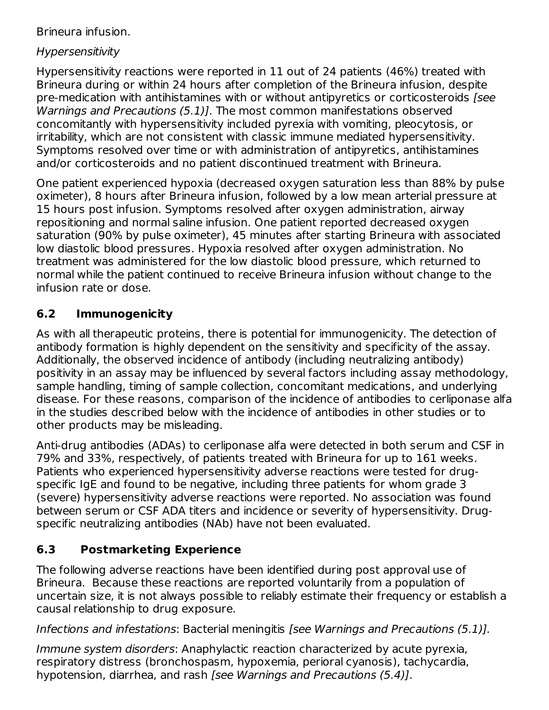Brineura infusion.

### Hypersensitivity

Hypersensitivity reactions were reported in 11 out of 24 patients (46%) treated with Brineura during or within 24 hours after completion of the Brineura infusion, despite pre-medication with antihistamines with or without antipyretics or corticosteroids [see Warnings and Precautions (5.1). The most common manifestations observed concomitantly with hypersensitivity included pyrexia with vomiting, pleocytosis, or irritability, which are not consistent with classic immune mediated hypersensitivity. Symptoms resolved over time or with administration of antipyretics, antihistamines and/or corticosteroids and no patient discontinued treatment with Brineura.

One patient experienced hypoxia (decreased oxygen saturation less than 88% by pulse oximeter), 8 hours after Brineura infusion, followed by a low mean arterial pressure at 15 hours post infusion. Symptoms resolved after oxygen administration, airway repositioning and normal saline infusion. One patient reported decreased oxygen saturation (90% by pulse oximeter), 45 minutes after starting Brineura with associated low diastolic blood pressures. Hypoxia resolved after oxygen administration. No treatment was administered for the low diastolic blood pressure, which returned to normal while the patient continued to receive Brineura infusion without change to the infusion rate or dose.

# **6.2 Immunogenicity**

As with all therapeutic proteins, there is potential for immunogenicity. The detection of antibody formation is highly dependent on the sensitivity and specificity of the assay. Additionally, the observed incidence of antibody (including neutralizing antibody) positivity in an assay may be influenced by several factors including assay methodology, sample handling, timing of sample collection, concomitant medications, and underlying disease. For these reasons, comparison of the incidence of antibodies to cerliponase alfa in the studies described below with the incidence of antibodies in other studies or to other products may be misleading.

Anti-drug antibodies (ADAs) to cerliponase alfa were detected in both serum and CSF in 79% and 33%, respectively, of patients treated with Brineura for up to 161 weeks. Patients who experienced hypersensitivity adverse reactions were tested for drugspecific IgE and found to be negative, including three patients for whom grade 3 (severe) hypersensitivity adverse reactions were reported. No association was found between serum or CSF ADA titers and incidence or severity of hypersensitivity. Drugspecific neutralizing antibodies (NAb) have not been evaluated.

### **6.3 Postmarketing Experience**

The following adverse reactions have been identified during post approval use of Brineura. Because these reactions are reported voluntarily from a population of uncertain size, it is not always possible to reliably estimate their frequency or establish a causal relationship to drug exposure.

Infections and infestations: Bacterial meningitis [see Warnings and Precautions (5.1)].

Immune system disorders: Anaphylactic reaction characterized by acute pyrexia, respiratory distress (bronchospasm, hypoxemia, perioral cyanosis), tachycardia, hypotension, diarrhea, and rash [see Warnings and Precautions (5.4)].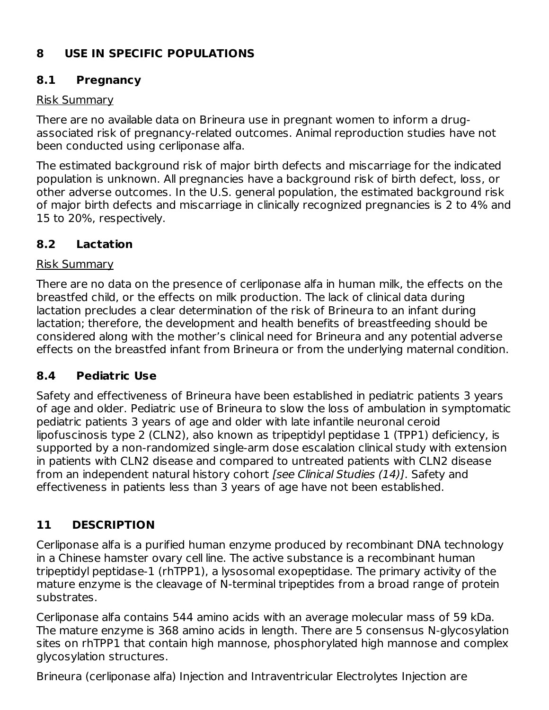### **8 USE IN SPECIFIC POPULATIONS**

### **8.1 Pregnancy**

### Risk Summary

There are no available data on Brineura use in pregnant women to inform a drugassociated risk of pregnancy-related outcomes. Animal reproduction studies have not been conducted using cerliponase alfa.

The estimated background risk of major birth defects and miscarriage for the indicated population is unknown. All pregnancies have a background risk of birth defect, loss, or other adverse outcomes. In the U.S. general population, the estimated background risk of major birth defects and miscarriage in clinically recognized pregnancies is 2 to 4% and 15 to 20%, respectively.

### **8.2 Lactation**

### Risk Summary

There are no data on the presence of cerliponase alfa in human milk, the effects on the breastfed child, or the effects on milk production. The lack of clinical data during lactation precludes a clear determination of the risk of Brineura to an infant during lactation; therefore, the development and health benefits of breastfeeding should be considered along with the mother's clinical need for Brineura and any potential adverse effects on the breastfed infant from Brineura or from the underlying maternal condition.

### **8.4 Pediatric Use**

Safety and effectiveness of Brineura have been established in pediatric patients 3 years of age and older. Pediatric use of Brineura to slow the loss of ambulation in symptomatic pediatric patients 3 years of age and older with late infantile neuronal ceroid lipofuscinosis type 2 (CLN2), also known as tripeptidyl peptidase 1 (TPP1) deficiency, is supported by a non-randomized single-arm dose escalation clinical study with extension in patients with CLN2 disease and compared to untreated patients with CLN2 disease from an independent natural history cohort [see Clinical Studies (14)]. Safety and effectiveness in patients less than 3 years of age have not been established.

# **11 DESCRIPTION**

Cerliponase alfa is a purified human enzyme produced by recombinant DNA technology in a Chinese hamster ovary cell line. The active substance is a recombinant human tripeptidyl peptidase-1 (rhTPP1), a lysosomal exopeptidase. The primary activity of the mature enzyme is the cleavage of N-terminal tripeptides from a broad range of protein substrates.

Cerliponase alfa contains 544 amino acids with an average molecular mass of 59 kDa. The mature enzyme is 368 amino acids in length. There are 5 consensus N-glycosylation sites on rhTPP1 that contain high mannose, phosphorylated high mannose and complex glycosylation structures.

Brineura (cerliponase alfa) Injection and Intraventricular Electrolytes Injection are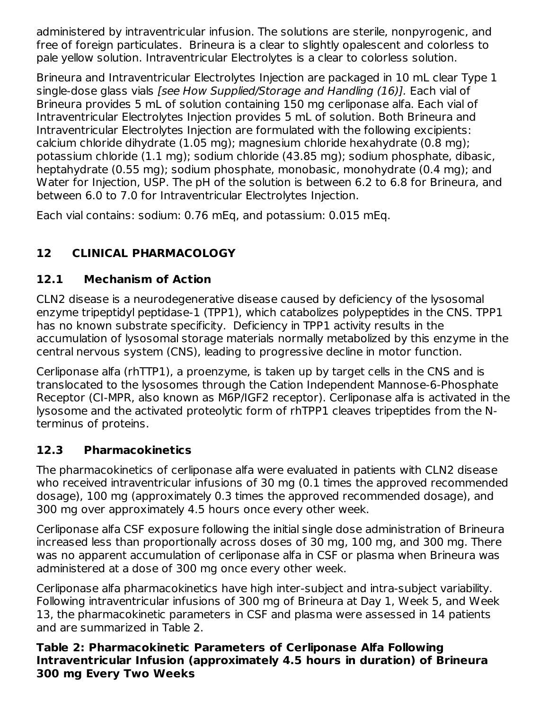administered by intraventricular infusion. The solutions are sterile, nonpyrogenic, and free of foreign particulates. Brineura is a clear to slightly opalescent and colorless to pale yellow solution. Intraventricular Electrolytes is a clear to colorless solution.

Brineura and Intraventricular Electrolytes Injection are packaged in 10 mL clear Type 1 single-dose glass vials [see How Supplied/Storage and Handling (16)]. Each vial of Brineura provides 5 mL of solution containing 150 mg cerliponase alfa. Each vial of Intraventricular Electrolytes Injection provides 5 mL of solution. Both Brineura and Intraventricular Electrolytes Injection are formulated with the following excipients: calcium chloride dihydrate (1.05 mg); magnesium chloride hexahydrate (0.8 mg); potassium chloride (1.1 mg); sodium chloride (43.85 mg); sodium phosphate, dibasic, heptahydrate (0.55 mg); sodium phosphate, monobasic, monohydrate (0.4 mg); and Water for Injection, USP. The pH of the solution is between 6.2 to 6.8 for Brineura, and between 6.0 to 7.0 for Intraventricular Electrolytes Injection.

Each vial contains: sodium: 0.76 mEq, and potassium: 0.015 mEq.

# **12 CLINICAL PHARMACOLOGY**

# **12.1 Mechanism of Action**

CLN2 disease is a neurodegenerative disease caused by deficiency of the lysosomal enzyme tripeptidyl peptidase-1 (TPP1), which catabolizes polypeptides in the CNS. TPP1 has no known substrate specificity. Deficiency in TPP1 activity results in the accumulation of lysosomal storage materials normally metabolized by this enzyme in the central nervous system (CNS), leading to progressive decline in motor function.

Cerliponase alfa (rhTTP1), a proenzyme, is taken up by target cells in the CNS and is translocated to the lysosomes through the Cation Independent Mannose-6-Phosphate Receptor (CI-MPR, also known as M6P/IGF2 receptor). Cerliponase alfa is activated in the lysosome and the activated proteolytic form of rhTPP1 cleaves tripeptides from the Nterminus of proteins.

# **12.3 Pharmacokinetics**

The pharmacokinetics of cerliponase alfa were evaluated in patients with CLN2 disease who received intraventricular infusions of 30 mg (0.1 times the approved recommended dosage), 100 mg (approximately 0.3 times the approved recommended dosage), and 300 mg over approximately 4.5 hours once every other week.

Cerliponase alfa CSF exposure following the initial single dose administration of Brineura increased less than proportionally across doses of 30 mg, 100 mg, and 300 mg. There was no apparent accumulation of cerliponase alfa in CSF or plasma when Brineura was administered at a dose of 300 mg once every other week.

Cerliponase alfa pharmacokinetics have high inter-subject and intra-subject variability. Following intraventricular infusions of 300 mg of Brineura at Day 1, Week 5, and Week 13, the pharmacokinetic parameters in CSF and plasma were assessed in 14 patients and are summarized in Table 2.

**Table 2: Pharmacokinetic Parameters of Cerliponase Alfa Following Intraventricular Infusion (approximately 4.5 hours in duration) of Brineura 300 mg Every Two Weeks**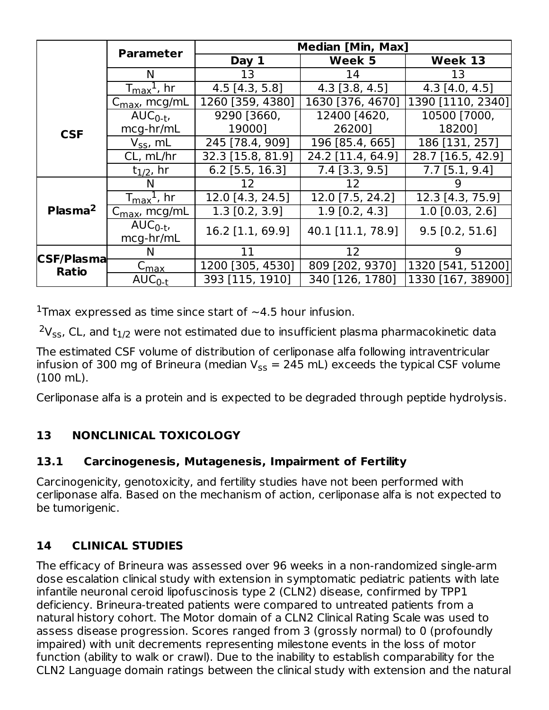|                     |                                                                   | <b>Median [Min, Max]</b> |                   |                   |  |
|---------------------|-------------------------------------------------------------------|--------------------------|-------------------|-------------------|--|
|                     | <b>Parameter</b>                                                  | Day 1                    | Week 5            | Week 13           |  |
|                     | N                                                                 | 13                       | 14                | 13                |  |
|                     | $I_{\text{max}}^{\text{\texttt{I}}}$ , hr                         | $4.5$ [4.3, 5.8]         | $4.3$ [3.8, 4.5]  | $4.3$ [4.0, 4.5]  |  |
|                     | $C_{\text{max}}$ , mcg/mL                                         | 1260 [359, 4380]         | 1630 [376, 4670]  | 1390 [1110, 2340] |  |
|                     | $AUC_{0-t}$                                                       | 9290 [3660,              | 12400 [4620,      | 10500 [7000,      |  |
| <b>CSF</b>          | mcg-hr/mL                                                         | 190001                   | 262001            | 182001            |  |
|                     | $V_{SS}$ , mL                                                     | 245 [78.4, 909]          | 196 [85.4, 665]   | 186 [131, 257]    |  |
|                     | CL, mL/hr                                                         | 32.3 [15.8, 81.9]        | 24.2 [11.4, 64.9] | 28.7 [16.5, 42.9] |  |
|                     | $t_{1/2}$ , hr                                                    | $6.2$ [5.5, 16.3]        | $7.4$ [3.3, 9.5]  | $7.7$ [5.1, 9.4]  |  |
|                     | N                                                                 | 12                       | 12                |                   |  |
|                     | $T_{\text{max}}$ <sup><math>\text{\LARGE{\iota}}</math>, hr</sup> | 12.0 [4.3, 24.5]         | 12.0 [7.5, 24.2]  | 12.3 [4.3, 75.9]  |  |
| Plasma <sup>2</sup> | $C_{\text{max}}$ , mcg/mL                                         | $1.3$ [0.2, 3.9]         | $1.9$ [0.2, 4.3]  | $1.0$ [0.03, 2.6] |  |
|                     | $AUC_{0-t}$                                                       | 16.2 [1.1, 69.9]         | 40.1 [11.1, 78.9] | $9.5$ [0.2, 51.6] |  |
|                     | mcg-hr/mL                                                         |                          |                   |                   |  |
| <b>CSF/Plasma</b>   | N                                                                 | 11                       | 12                | 9                 |  |
| <b>Ratio</b>        | ${\sf c}_{\sf max}$                                               | 1200 [305, 4530]         | 809 [202, 9370]   | 1320 [541, 51200] |  |
|                     | $AUC_{0-t}$                                                       | 393 [115, 1910]          | 340 [126, 1780]   | 1330 [167, 38900] |  |

<sup>1</sup>Tmax expressed as time since start of  $\sim$  4.5 hour infusion.

 $2V_{SS}$ , CL, and  $t_{1/2}$  were not estimated due to insufficient plasma pharmacokinetic data

The estimated CSF volume of distribution of cerliponase alfa following intraventricular infusion of 300 mg of Brineura (median  $\rm V_{SS}$  = 245 mL) exceeds the typical CSF volume (100 mL).

Cerliponase alfa is a protein and is expected to be degraded through peptide hydrolysis.

### **13 NONCLINICAL TOXICOLOGY**

### **13.1 Carcinogenesis, Mutagenesis, Impairment of Fertility**

Carcinogenicity, genotoxicity, and fertility studies have not been performed with cerliponase alfa. Based on the mechanism of action, cerliponase alfa is not expected to be tumorigenic.

### **14 CLINICAL STUDIES**

The efficacy of Brineura was assessed over 96 weeks in a non-randomized single-arm dose escalation clinical study with extension in symptomatic pediatric patients with late infantile neuronal ceroid lipofuscinosis type 2 (CLN2) disease, confirmed by TPP1 deficiency. Brineura-treated patients were compared to untreated patients from a natural history cohort. The Motor domain of a CLN2 Clinical Rating Scale was used to assess disease progression. Scores ranged from 3 (grossly normal) to 0 (profoundly impaired) with unit decrements representing milestone events in the loss of motor function (ability to walk or crawl). Due to the inability to establish comparability for the CLN2 Language domain ratings between the clinical study with extension and the natural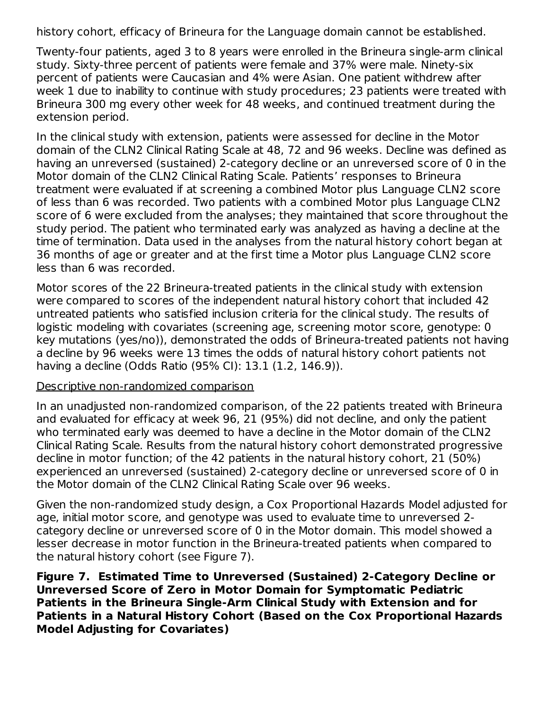history cohort, efficacy of Brineura for the Language domain cannot be established.

Twenty-four patients, aged 3 to 8 years were enrolled in the Brineura single-arm clinical study. Sixty-three percent of patients were female and 37% were male. Ninety-six percent of patients were Caucasian and 4% were Asian. One patient withdrew after week 1 due to inability to continue with study procedures; 23 patients were treated with Brineura 300 mg every other week for 48 weeks, and continued treatment during the extension period.

In the clinical study with extension, patients were assessed for decline in the Motor domain of the CLN2 Clinical Rating Scale at 48, 72 and 96 weeks. Decline was defined as having an unreversed (sustained) 2-category decline or an unreversed score of 0 in the Motor domain of the CLN2 Clinical Rating Scale. Patients' responses to Brineura treatment were evaluated if at screening a combined Motor plus Language CLN2 score of less than 6 was recorded. Two patients with a combined Motor plus Language CLN2 score of 6 were excluded from the analyses; they maintained that score throughout the study period. The patient who terminated early was analyzed as having a decline at the time of termination. Data used in the analyses from the natural history cohort began at 36 months of age or greater and at the first time a Motor plus Language CLN2 score less than 6 was recorded.

Motor scores of the 22 Brineura-treated patients in the clinical study with extension were compared to scores of the independent natural history cohort that included 42 untreated patients who satisfied inclusion criteria for the clinical study. The results of logistic modeling with covariates (screening age, screening motor score, genotype: 0 key mutations (yes/no)), demonstrated the odds of Brineura-treated patients not having a decline by 96 weeks were 13 times the odds of natural history cohort patients not having a decline (Odds Ratio (95% CI): 13.1 (1.2, 146.9)).

#### Descriptive non-randomized comparison

In an unadjusted non-randomized comparison, of the 22 patients treated with Brineura and evaluated for efficacy at week 96, 21 (95%) did not decline, and only the patient who terminated early was deemed to have a decline in the Motor domain of the CLN2 Clinical Rating Scale. Results from the natural history cohort demonstrated progressive decline in motor function; of the 42 patients in the natural history cohort, 21 (50%) experienced an unreversed (sustained) 2-category decline or unreversed score of 0 in the Motor domain of the CLN2 Clinical Rating Scale over 96 weeks.

Given the non-randomized study design, a Cox Proportional Hazards Model adjusted for age, initial motor score, and genotype was used to evaluate time to unreversed 2 category decline or unreversed score of 0 in the Motor domain. This model showed a lesser decrease in motor function in the Brineura-treated patients when compared to the natural history cohort (see Figure 7).

**Figure 7. Estimated Time to Unreversed (Sustained) 2-Category Decline or Unreversed Score of Zero in Motor Domain for Symptomatic Pediatric Patients in the Brineura Single-Arm Clinical Study with Extension and for Patients in a Natural History Cohort (Based on the Cox Proportional Hazards Model Adjusting for Covariates)**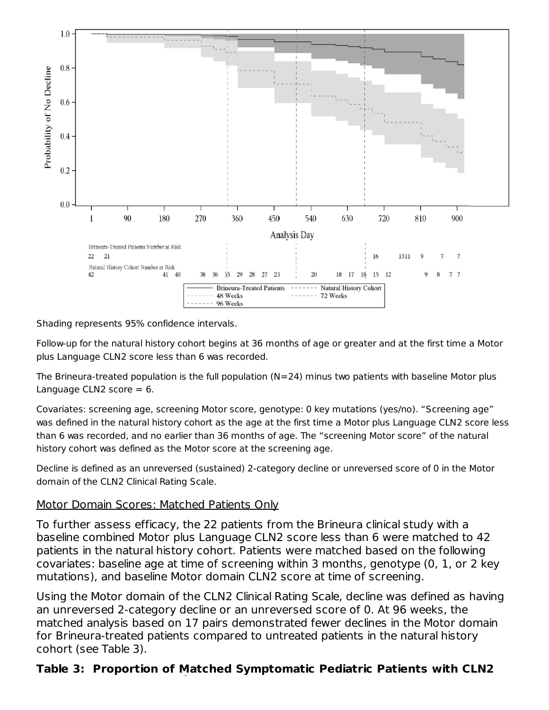

Shading represents 95% confidence intervals.

Follow-up for the natural history cohort begins at 36 months of age or greater and at the first time a Motor plus Language CLN2 score less than 6 was recorded.

The Brineura-treated population is the full population  $(N=24)$  minus two patients with baseline Motor plus Language CLN2 score  $= 6$ .

Covariates: screening age, screening Motor score, genotype: 0 key mutations (yes/no). "Screening age" was defined in the natural history cohort as the age at the first time a Motor plus Language CLN2 score less than 6 was recorded, and no earlier than 36 months of age. The "screening Motor score" of the natural history cohort was defined as the Motor score at the screening age.

Decline is defined as an unreversed (sustained) 2-category decline or unreversed score of 0 in the Motor domain of the CLN2 Clinical Rating Scale.

#### Motor Domain Scores: Matched Patients Only

To further assess efficacy, the 22 patients from the Brineura clinical study with a baseline combined Motor plus Language CLN2 score less than 6 were matched to 42 patients in the natural history cohort. Patients were matched based on the following covariates: baseline age at time of screening within 3 months, genotype (0, 1, or 2 key mutations), and baseline Motor domain CLN2 score at time of screening.

Using the Motor domain of the CLN2 Clinical Rating Scale, decline was defined as having an unreversed 2-category decline or an unreversed score of 0. At 96 weeks, the matched analysis based on 17 pairs demonstrated fewer declines in the Motor domain for Brineura-treated patients compared to untreated patients in the natural history cohort (see Table 3).

### **Table 3: Proportion of Matched Symptomatic Pediatric Patients with CLN2**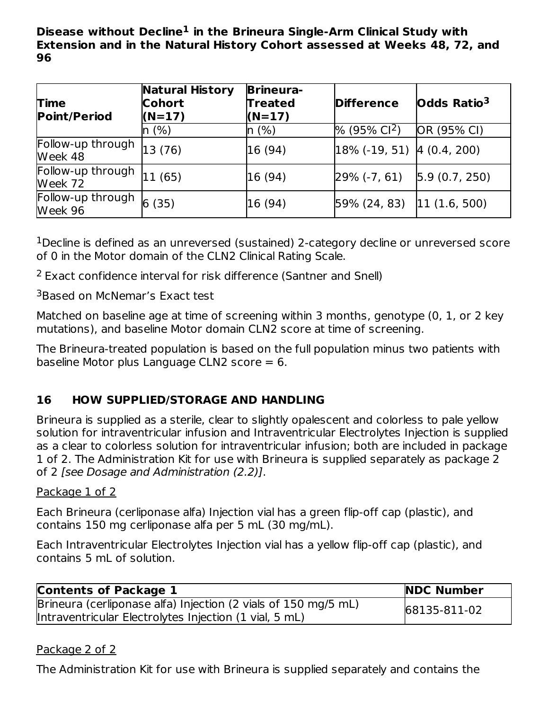**Disease without Decline in the Brineura Single-Arm Clinical Study with 1 Extension and in the Natural History Cohort assessed at Weeks 48, 72, and 96**

| <b>Time</b><br><b>Point/Period</b> | <b>Natural History</b><br><b>Cohort</b><br>$(N=17)$ | <b>Brineura-</b><br><b>Treated</b><br>$(N=17)$ | <b>Difference</b>                 | Odds Ratio <sup>3</sup> |
|------------------------------------|-----------------------------------------------------|------------------------------------------------|-----------------------------------|-------------------------|
|                                    | n (%)                                               | n(%)                                           | % (95% Cl <sup>2</sup> )          | OR (95% CI)             |
| Follow-up through<br>Week 48       | 13(76)                                              | 16 (94)                                        | $ 18\%$ (-19, 51) $ 4$ (0.4, 200) |                         |
| Follow-up through<br>Week 72       | 11 (65)                                             | 16 (94)                                        | $29\%$ (-7, 61)                   | 5.9(0.7, 250)           |
| Follow-up through<br>Week 96       | 6(35)                                               | 16 (94)                                        | 59% (24, 83)                      | 11(1.6, 500)            |

 $1$ Decline is defined as an unreversed (sustained) 2-category decline or unreversed score of 0 in the Motor domain of the CLN2 Clinical Rating Scale.

<sup>2</sup> Exact confidence interval for risk difference (Santner and Snell)

<sup>3</sup>Based on McNemar's Exact test

Matched on baseline age at time of screening within 3 months, genotype (0, 1, or 2 key mutations), and baseline Motor domain CLN2 score at time of screening.

The Brineura-treated population is based on the full population minus two patients with baseline Motor plus Language CLN2 score  $= 6$ .

### **16 HOW SUPPLIED/STORAGE AND HANDLING**

Brineura is supplied as a sterile, clear to slightly opalescent and colorless to pale yellow solution for intraventricular infusion and Intraventricular Electrolytes Injection is supplied as a clear to colorless solution for intraventricular infusion; both are included in package 1 of 2. The Administration Kit for use with Brineura is supplied separately as package 2 of 2 [see Dosage and Administration (2.2)].

#### Package 1 of 2

Each Brineura (cerliponase alfa) Injection vial has a green flip‑off cap (plastic), and contains 150 mg cerliponase alfa per 5 mL (30 mg/mL).

Each Intraventricular Electrolytes Injection vial has a yellow flip-off cap (plastic), and contains 5 mL of solution.

| <b>Contents of Package 1</b>                                   | <b>NDC Number</b> |
|----------------------------------------------------------------|-------------------|
| Brineura (cerliponase alfa) Injection (2 vials of 150 mg/5 mL) | 68135-811-02      |
| Intraventricular Electrolytes Injection (1 vial, 5 mL)         |                   |

#### Package 2 of 2

The Administration Kit for use with Brineura is supplied separately and contains the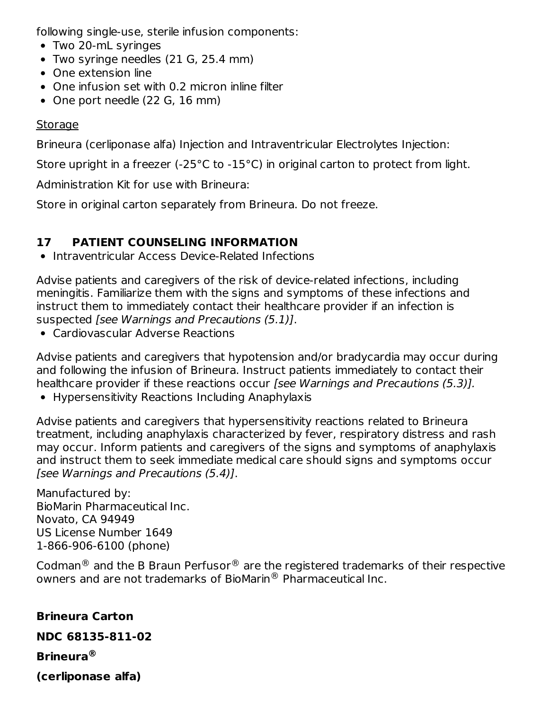following single-use, sterile infusion components:

- Two 20-mL syringes
- Two syringe needles (21 G, 25.4 mm)
- One extension line
- One infusion set with 0.2 micron inline filter
- One port needle (22 G, 16 mm)

### **Storage**

Brineura (cerliponase alfa) Injection and Intraventricular Electrolytes Injection:

Store upright in a freezer (-25°C to -15°C) in original carton to protect from light.

Administration Kit for use with Brineura:

Store in original carton separately from Brineura. Do not freeze.

# **17 PATIENT COUNSELING INFORMATION**

• Intraventricular Access Device-Related Infections

Advise patients and caregivers of the risk of device-related infections, including meningitis. Familiarize them with the signs and symptoms of these infections and instruct them to immediately contact their healthcare provider if an infection is suspected [see Warnings and Precautions (5.1)].

Cardiovascular Adverse Reactions

Advise patients and caregivers that hypotension and/or bradycardia may occur during and following the infusion of Brineura. Instruct patients immediately to contact their healthcare provider if these reactions occur [see Warnings and Precautions (5.3)].

Hypersensitivity Reactions Including Anaphylaxis

Advise patients and caregivers that hypersensitivity reactions related to Brineura treatment, including anaphylaxis characterized by fever, respiratory distress and rash may occur. Inform patients and caregivers of the signs and symptoms of anaphylaxis and instruct them to seek immediate medical care should signs and symptoms occur [see Warnings and Precautions (5.4)].

Manufactured by: BioMarin Pharmaceutical Inc. Novato, CA 94949 US License Number 1649 1-866-906-6100 (phone)

Codman $^{\circledR}$  and the B Braun Perfusor $^{\circledR}$  are the registered trademarks of their respective owners and are not trademarks of BioMarin $^\circledR$  Pharmaceutical Inc.

# **Brineura Carton**

### **NDC 68135-811-02**

**Brineura ®**

**(cerliponase alfa)**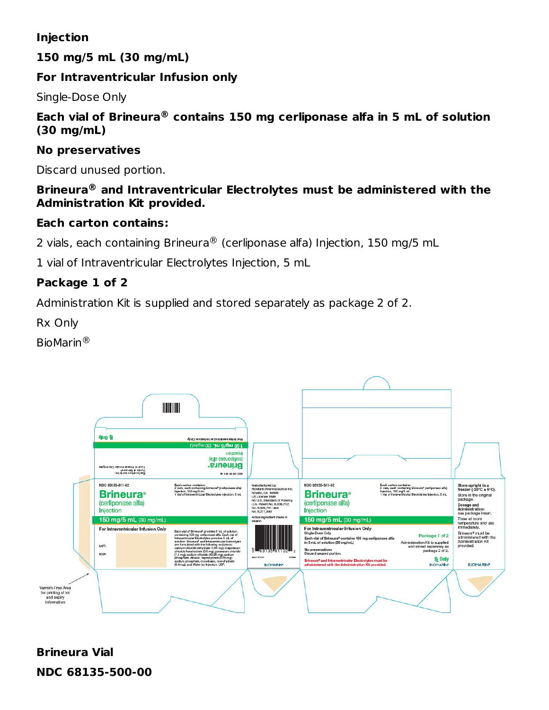### **Injection**

**150 mg/5 mL (30 mg/mL)**

### **For Intraventricular Infusion only**

Single-Dose Only

#### **Each vial of Brineura contains 150 mg cerliponase alfa in 5 mL of solution ® (30 mg/mL)**

#### **No preservatives**

Discard unused portion.

#### **Brineura and Intraventricular Electrolytes must be administered with the ® Administration Kit provided.**

### **Each carton contains:**

2 vials, each containing Brineura $^\circledR$  (cerliponase alfa) Injection, 150 mg/5 mL

1 vial of Intraventricular Electrolytes Injection, 5 mL

### **Package 1 of 2**

Administration Kit is supplied and stored separately as package 2 of 2.

Rx Only

BioMarin ®



# **Brineura Vial NDC 68135-500-00**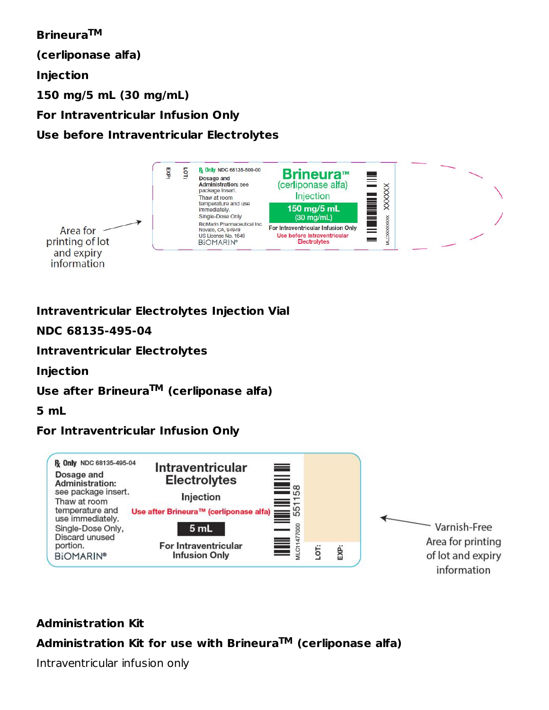**Brineura TM (cerliponase alfa) Injection 150 mg/5 mL (30 mg/mL) For Intraventricular Infusion Only Use before Intraventricular Electrolytes**



### **Intraventricular Electrolytes Injection Vial**

**NDC 68135-495-04**

**Intraventricular Electrolytes**

**Injection**

#### **Use after Brineura (cerliponase alfa) TM**

**5 mL**

### **For Intraventricular Infusion Only**



### **Administration Kit**

### **Administration Kit for use with Brineura (cerliponase alfa) TM**

Intraventricular infusion only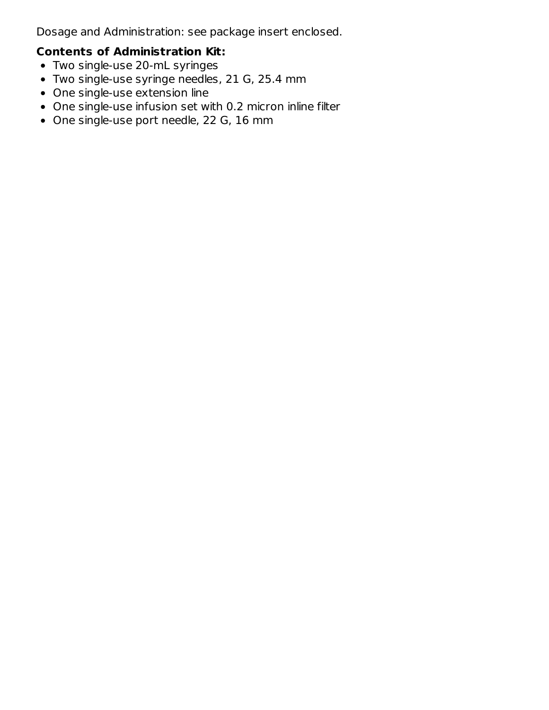Dosage and Administration: see package insert enclosed.

# **Contents of Administration Kit:**

- Two single-use 20-mL syringes
- Two single-use syringe needles, 21 G, 25.4 mm
- One single-use extension line
- One single-use infusion set with 0.2 micron inline filter
- One single-use port needle, 22 G, 16 mm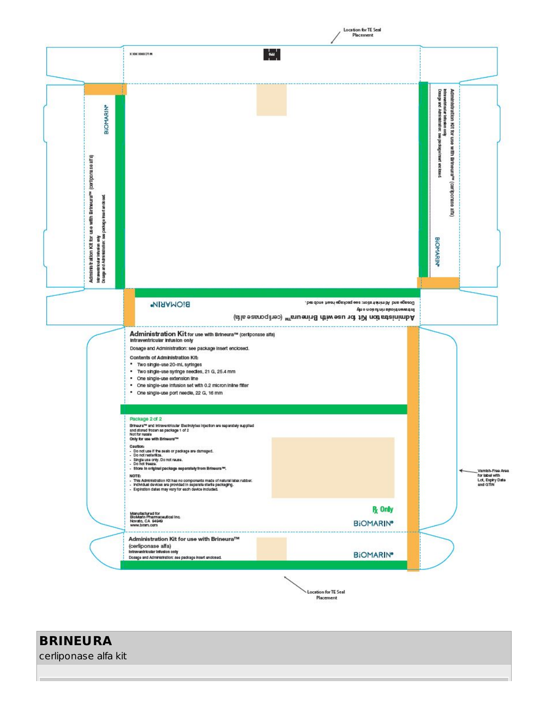|                                                                                                                                                                                                                                  | ™.<br>X 3000 30000 CPT PM                                                                                                                                                                                                                                                                                                                                                                                                                                                                                                                                                                                                                                   |                                                                                                                                                                  |                                                                                                                                                            |
|----------------------------------------------------------------------------------------------------------------------------------------------------------------------------------------------------------------------------------|-------------------------------------------------------------------------------------------------------------------------------------------------------------------------------------------------------------------------------------------------------------------------------------------------------------------------------------------------------------------------------------------------------------------------------------------------------------------------------------------------------------------------------------------------------------------------------------------------------------------------------------------------------------|------------------------------------------------------------------------------------------------------------------------------------------------------------------|------------------------------------------------------------------------------------------------------------------------------------------------------------|
| <b>BIOMARIN*</b><br>Administration Kit for use with Brineura <sup>ns</sup> (cerliporase alfa)<br>intramentrio darin'i notasionale personale insection classed.<br>Do sagga and Administration : see pershag e insection classed. |                                                                                                                                                                                                                                                                                                                                                                                                                                                                                                                                                                                                                                                             |                                                                                                                                                                  | Dossage and Administration: see packageinsent one bead<br>intra ventri cui ar infusion only<br>Administration Kit for use with Brineura™ (cariporase alfa) |
|                                                                                                                                                                                                                                  | BIONARIN <sup>®</sup>                                                                                                                                                                                                                                                                                                                                                                                                                                                                                                                                                                                                                                       | . be done heari egation; see package inset and enco-<br>throughout and rin don only<br>Administration Kit for use with Brineum <sup>ars</sup> (cerliponase alfa) | <b>BIOMARIN</b>                                                                                                                                            |
|                                                                                                                                                                                                                                  | Administration Kit for use with Brineura™ (certponase alfa)<br>Intraventricular Infusion only<br>Dosage and Administration: see package insert enclosed.<br>Contents of Administration Kit:<br>* Two single-use 20-mL syringes<br>. Two single-use syringe needles, 21 G, 25.4 mm<br>· One single-use extension line<br>. One single-use infusion set with 0.2 micron inline filter<br>* One single-use port needle, 22 G, 16 mm                                                                                                                                                                                                                            |                                                                                                                                                                  |                                                                                                                                                            |
|                                                                                                                                                                                                                                  | Package 2 of 2<br>Brinaura <sup>ne</sup> and intraventricular Becholytes Injection are separately supplied<br>and stored frozen as package 1 of 2<br>Not for resale<br>Only for use with Brineura <sup>na</sup><br>Caution:<br>- Do not use if the seals or package are damaged.<br>- Do not resteriize.<br>- Single use only. Do not reuse.<br>- Do not treeze.<br>- Store in original package separately from Brineura <sup>ne</sup> .<br>NOTE:<br>- This Administration Kit has no components made of natural latex rubber.<br>- Individual devices are provided in separate sterile packaging.<br>- Expiration dates may vary for each device included. |                                                                                                                                                                  | Vamish-Free Area<br>for label with<br>Lot, Expiry Date<br>and GTIN                                                                                         |
|                                                                                                                                                                                                                                  | Manufactured for<br>BioMarin Pharmaceutical Inc.<br>Novato, CA 94949<br>www.bmm.com                                                                                                                                                                                                                                                                                                                                                                                                                                                                                                                                                                         | <b>R</b> <sub>c</sub> Only<br><b>BIOMARIN®</b>                                                                                                                   |                                                                                                                                                            |
|                                                                                                                                                                                                                                  | Administration Kit for use with Brineura™<br>(cerliponase alfa)<br>Intraventricular Infusion only<br>Dosage and Administration: see package insert enclosed.                                                                                                                                                                                                                                                                                                                                                                                                                                                                                                | <b>BIOMARIN®</b>                                                                                                                                                 |                                                                                                                                                            |

Location for TE Seal<br>/<br>Placement

**BRINEURA**

cerliponase alfa kit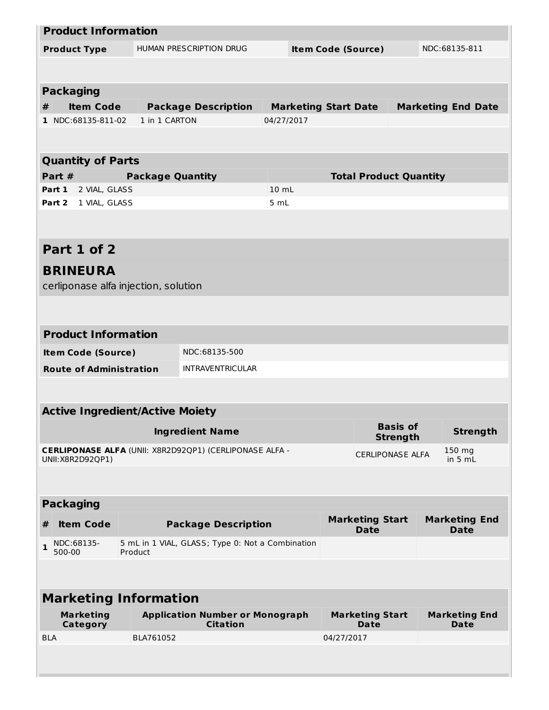| <b>Product Information</b>             |                                          |                                                                |            |                               |                         |                           |
|----------------------------------------|------------------------------------------|----------------------------------------------------------------|------------|-------------------------------|-------------------------|---------------------------|
| <b>Product Type</b>                    | HUMAN PRESCRIPTION DRUG                  |                                                                |            | <b>Item Code (Source)</b>     |                         | NDC:68135-811             |
|                                        |                                          |                                                                |            |                               |                         |                           |
|                                        |                                          |                                                                |            |                               |                         |                           |
| <b>Packaging</b>                       |                                          |                                                                |            |                               |                         |                           |
| <b>Item Code</b><br>#                  |                                          | <b>Package Description</b>                                     |            | <b>Marketing Start Date</b>   |                         | <b>Marketing End Date</b> |
| 1 NDC:68135-811-02                     | 1 in 1 CARTON                            |                                                                | 04/27/2017 |                               |                         |                           |
|                                        |                                          |                                                                |            |                               |                         |                           |
| <b>Quantity of Parts</b>               |                                          |                                                                |            |                               |                         |                           |
| Part #                                 | <b>Package Quantity</b>                  |                                                                |            | <b>Total Product Quantity</b> |                         |                           |
| Part 1<br>2 VIAL, GLASS                |                                          |                                                                | 10 mL      |                               |                         |                           |
| 1 VIAL, GLASS<br>Part 2                |                                          |                                                                | 5 mL       |                               |                         |                           |
|                                        |                                          |                                                                |            |                               |                         |                           |
|                                        |                                          |                                                                |            |                               |                         |                           |
| Part 1 of 2                            |                                          |                                                                |            |                               |                         |                           |
| <b>BRINEURA</b>                        |                                          |                                                                |            |                               |                         |                           |
| cerliponase alfa injection, solution   |                                          |                                                                |            |                               |                         |                           |
|                                        |                                          |                                                                |            |                               |                         |                           |
|                                        |                                          |                                                                |            |                               |                         |                           |
| <b>Product Information</b>             |                                          |                                                                |            |                               |                         |                           |
| <b>Item Code (Source)</b>              |                                          |                                                                |            |                               |                         |                           |
|                                        | NDC:68135-500<br><b>INTRAVENTRICULAR</b> |                                                                |            |                               |                         |                           |
| <b>Route of Administration</b>         |                                          |                                                                |            |                               |                         |                           |
|                                        |                                          |                                                                |            |                               |                         |                           |
| <b>Active Ingredient/Active Moiety</b> |                                          |                                                                |            |                               |                         |                           |
|                                        |                                          | <b>Ingredient Name</b>                                         |            |                               | <b>Basis of</b>         | <b>Strength</b>           |
|                                        |                                          |                                                                |            |                               | <b>Strength</b>         |                           |
| UNII: X8R2D92QP1)                      |                                          | <b>CERLIPONASE ALFA (UNII: X8R2D92QP1) (CERLIPONASE ALFA -</b> |            |                               | <b>CERLIPONASE ALFA</b> | 150 mg<br>in $5 mL$       |
|                                        |                                          |                                                                |            |                               |                         |                           |
|                                        |                                          |                                                                |            |                               |                         |                           |
| <b>Packaging</b>                       |                                          |                                                                |            |                               |                         |                           |
| <b>Item Code</b><br>#                  |                                          | <b>Package Description</b>                                     |            | <b>Marketing Start</b>        |                         | <b>Marketing End</b>      |
| NDC:68135-                             |                                          | 5 mL in 1 VIAL, GLASS; Type 0: Not a Combination               |            | <b>Date</b>                   |                         | <b>Date</b>               |
| 1<br>500-00                            | Product                                  |                                                                |            |                               |                         |                           |
|                                        |                                          |                                                                |            |                               |                         |                           |
|                                        |                                          |                                                                |            |                               |                         |                           |
| <b>Marketing Information</b>           |                                          |                                                                |            |                               |                         |                           |
| <b>Marketing</b>                       |                                          | <b>Application Number or Monograph</b>                         |            | <b>Marketing Start</b>        |                         | <b>Marketing End</b>      |
| <b>Category</b><br><b>BLA</b>          | BLA761052                                | <b>Citation</b>                                                |            | Date<br>04/27/2017            |                         | Date                      |
|                                        |                                          |                                                                |            |                               |                         |                           |
|                                        |                                          |                                                                |            |                               |                         |                           |
|                                        |                                          |                                                                |            |                               |                         |                           |